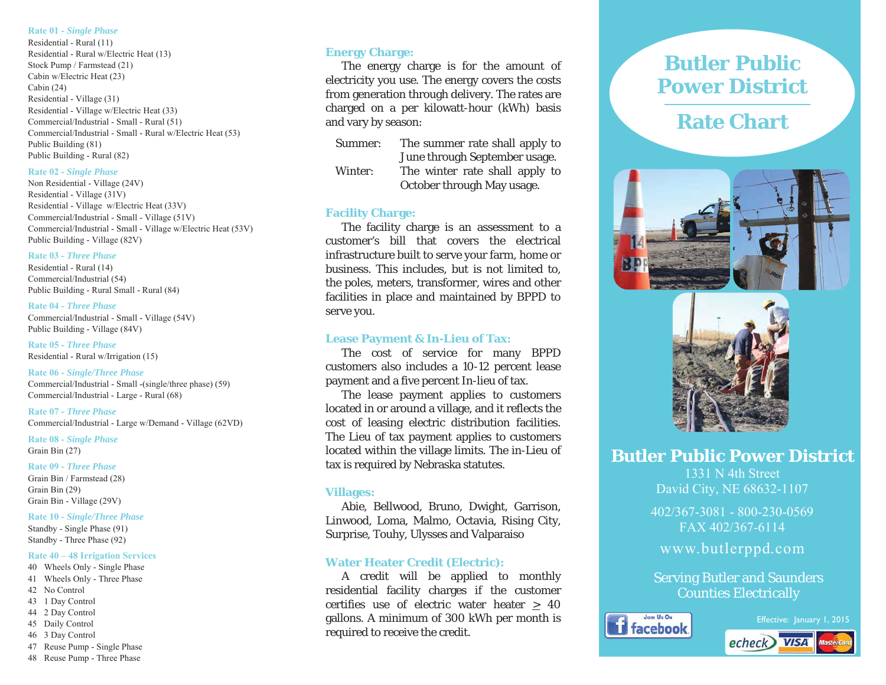## **Rate 01 -** *Single Phase*

Residential - Rural (11) Residential - Rural w/Electric Heat (13) Stock Pump / Farmstead (21) Cabin w/Electric Heat (23) Cabin  $(24)$ Residential - Village (31) Residential - Village w/Electric Heat (33) Commercial/Industrial - Small - Rural (51) Commercial/Industrial - Small - Rural w/Electric Heat (53) Public Building (81) Public Building - Rural (82)

### **Rate 02 -** *Single Phase*

Non Residential - Village (24V) Residential - Village (31V) Residential - Village w/Electric Heat (33V) Commercial/Industrial - Small - Village (51V) Commercial/Industrial - Small - Village w/Electric Heat (53V) Public Building - Village (82V)

### **Rate 03 -** *Three Phase*

Residential - Rural (14) Commercial/Industrial (54) Public Building - Rural Small - Rural (84)

#### **Rate 04 -** *Three Phase*

Commercial/Industrial - Small - Village (54V) Public Building - Village (84V)

**Rate 05 -** *Three Phase* Residential - Rural w/Irrigation (15)

**Rate 06 -** *Single/Three Phase*  Commercial/Industrial - Small -(single/three phase) (59) Commercial/Industrial - Large - Rural (68)

**Rate 07 -** *Three Phase* Commercial/Industrial - Large w/Demand - Village (62VD)

**Rate 08 -** *Single Phase*  Grain Bin  $(27)$ 

**Rate 09 -** *Three Phase* Grain Bin / Farmstead (28) Grain Bin  $(29)$ Grain Bin - Village (29V)

# **Rate 10 -** *Single/Three Phase*

Standby - Single Phase (91) Standby - Three Phase (92)

# **Rate 40 – 48 Irrigation Services**

- 40 Wheels Only Single Phase
- 41 Wheels Only Three Phase
- 42 No Control 43 1 Day Control
- 44 2 Day Control
- 45 Daily Control
- 46 3 Day Control
- 47 Reuse Pump Single Phase
- 48 Reuse Pump Three Phase

# **Energy Charge:**

 The energy charge is for the amount of electricity you use. The energy covers the costs from generation through delivery. The rates are charged on a per kilowatt-hour (kWh) basis and vary by season:

- Summer: The summer rate shall apply to June through September usage.
- Winter: The winter rate shall apply to October through May usage.

# **Facility Charge:**

The facility charge is an assessment to a customer's bill that covers the electrical infrastructure built to serve your farm, home or business. This includes, but is not limited to, the poles, meters, transformer, wires and other facilities in place and maintained by BPPD to serve you.

# **Lease Payment & In-Lieu of Tax:**

The cost of service for many BPPD customers also includes a 10-12 percent lease payment and a five percent In-lieu of tax.

 The lease payment applies to customers located in or around a village, and it reflects the cost of leasing electric distribution facilities. The Lieu of tax payment applies to customers located within the village limits. The in-Lieu of tax is required by Nebraska statutes.

## **Villages:**

 Abie, Bellwood, Bruno, Dwight, Garrison, Linwood, Loma, Malmo, Octavia, Rising City, Surprise, Touhy, Ulysses and Valparaiso

# **Water Heater Credit (Electric):**

 A credit will be applied to monthly residential facility charges if the customer certifies use of electric water heater > 40 gallons. A minimum of 300 kWh per month is required to receive the credit.

# **Butler Public Power District**

# **Rate Chart**





**Butler Public Power District** 

1331 N 4th Street David City, NE 68632-1107

402/367-3081 - 800-230-0569  $FAX402/367-6114$ 

www.butlerppd.com

Serving Butler and Saunders Counties Electrically